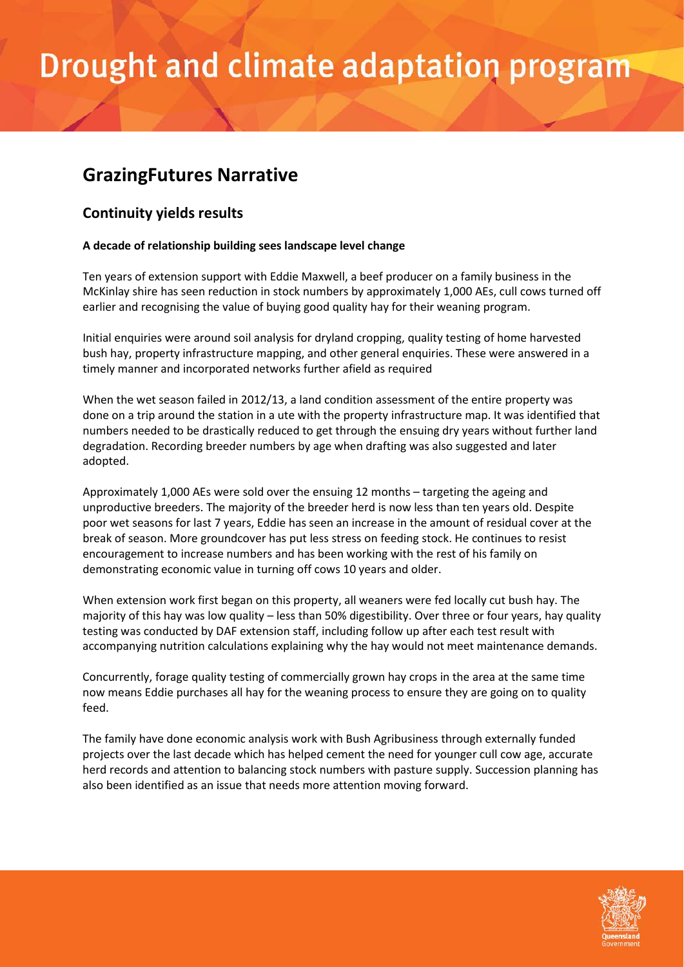# Drought and climate adaptation program

### **GrazingFutures Narrative**

### **Continuity yields results**

#### **A decade of relationship building sees landscape level change**

Ten years of extension support with Eddie Maxwell, a beef producer on a family business in the McKinlay shire has seen reduction in stock numbers by approximately 1,000 AEs, cull cows turned off earlier and recognising the value of buying good quality hay for their weaning program.

Initial enquiries were around soil analysis for dryland cropping, quality testing of home harvested bush hay, property infrastructure mapping, and other general enquiries. These were answered in a timely manner and incorporated networks further afield as required

When the wet season failed in 2012/13, a land condition assessment of the entire property was done on a trip around the station in a ute with the property infrastructure map. It was identified that numbers needed to be drastically reduced to get through the ensuing dry years without further land degradation. Recording breeder numbers by age when drafting was also suggested and later adopted.

Approximately 1,000 AEs were sold over the ensuing 12 months – targeting the ageing and unproductive breeders. The majority of the breeder herd is now less than ten years old. Despite poor wet seasons for last 7 years, Eddie has seen an increase in the amount of residual cover at the break of season. More groundcover has put less stress on feeding stock. He continues to resist encouragement to increase numbers and has been working with the rest of his family on demonstrating economic value in turning off cows 10 years and older.

When extension work first began on this property, all weaners were fed locally cut bush hay. The majority of this hay was low quality – less than 50% digestibility. Over three or four years, hay quality testing was conducted by DAF extension staff, including follow up after each test result with accompanying nutrition calculations explaining why the hay would not meet maintenance demands.

Concurrently, forage quality testing of commercially grown hay crops in the area at the same time now means Eddie purchases all hay for the weaning process to ensure they are going on to quality feed.

The family have done economic analysis work with Bush Agribusiness through externally funded projects over the last decade which has helped cement the need for younger cull cow age, accurate herd records and attention to balancing stock numbers with pasture supply. Succession planning has also been identified as an issue that needs more attention moving forward.